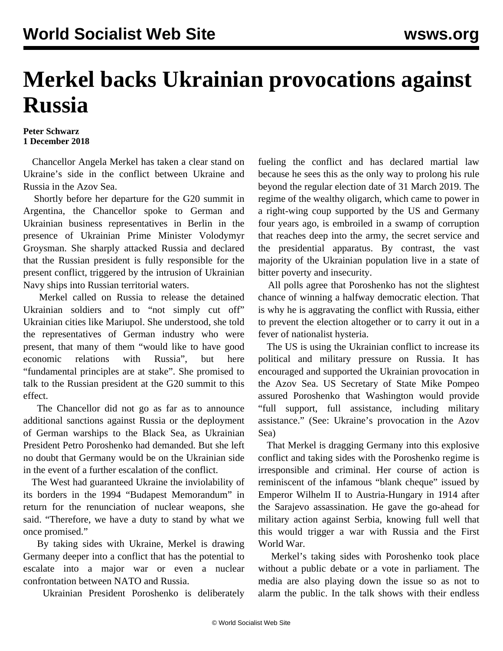## **Merkel backs Ukrainian provocations against Russia**

## **Peter Schwarz 1 December 2018**

 Chancellor Angela Merkel has taken a clear stand on Ukraine's side in the conflict between Ukraine and Russia in the Azov Sea.

 Shortly before her departure for the G20 summit in Argentina, the Chancellor spoke to German and Ukrainian business representatives in Berlin in the presence of Ukrainian Prime Minister Volodymyr Groysman. She sharply attacked Russia and declared that the Russian president is fully responsible for the present conflict, triggered by the intrusion of Ukrainian Navy ships into Russian territorial waters.

 Merkel called on Russia to release the detained Ukrainian soldiers and to "not simply cut off" Ukrainian cities like Mariupol. She understood, she told the representatives of German industry who were present, that many of them "would like to have good economic relations with Russia", but here "fundamental principles are at stake". She promised to talk to the Russian president at the G20 summit to this effect.

 The Chancellor did not go as far as to announce additional sanctions against Russia or the deployment of German warships to the Black Sea, as Ukrainian President Petro Poroshenko had demanded. But she left no doubt that Germany would be on the Ukrainian side in the event of a further escalation of the conflict.

 The West had guaranteed Ukraine the inviolability of its borders in the 1994 "Budapest Memorandum" in return for the renunciation of nuclear weapons, she said. "Therefore, we have a duty to stand by what we once promised."

 By taking sides with Ukraine, Merkel is drawing Germany deeper into a conflict that has the potential to escalate into a major war or even a nuclear confrontation between NATO and Russia.

Ukrainian President Poroshenko is deliberately

fueling the conflict and has declared martial law because he sees this as the only way to prolong his rule beyond the regular election date of 31 March 2019. The regime of the wealthy oligarch, which came to power in a right-wing coup supported by the US and Germany four years ago, is embroiled in a swamp of corruption that reaches deep into the army, the secret service and the presidential apparatus. By contrast, the vast majority of the Ukrainian population live in a state of bitter poverty and insecurity.

 All polls agree that Poroshenko has not the slightest chance of winning a halfway democratic election. That is why he is aggravating the conflict with Russia, either to prevent the election altogether or to carry it out in a fever of nationalist hysteria.

 The US is using the Ukrainian conflict to increase its political and military pressure on Russia. It has encouraged and supported the Ukrainian provocation in the Azov Sea. US Secretary of State Mike Pompeo assured Poroshenko that Washington would provide "full support, full assistance, including military assistance." (See: [Ukraine's provocation in the Azov](/en/articles/2018/11/29/pers-n29.html) [Sea\)](/en/articles/2018/11/29/pers-n29.html)

 That Merkel is dragging Germany into this explosive conflict and taking sides with the Poroshenko regime is irresponsible and criminal. Her course of action is reminiscent of the infamous "blank cheque" issued by Emperor Wilhelm II to Austria-Hungary in 1914 after the Sarajevo assassination. He gave the go-ahead for military action against Serbia, knowing full well that this would trigger a war with Russia and the First World War.

 Merkel's taking sides with Poroshenko took place without a public debate or a vote in parliament. The media are also playing down the issue so as not to alarm the public. In the talk shows with their endless